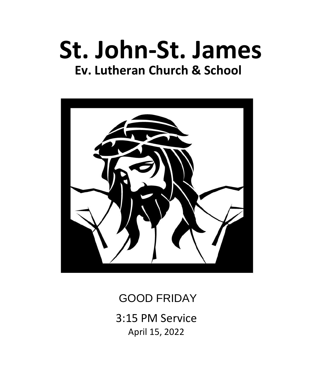# **St. John-St. James Ev. Lutheran Church & School**



GOOD FRIDAY

3:15 PM Service April 15, 2022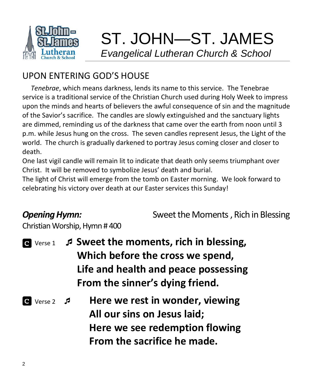![](_page_1_Picture_0.jpeg)

# ST. JOHN—ST. JAMES  *Evangelical Lutheran Church & School*

# UPON ENTERING GOD'S HOUSE

 *Tenebrae*, which means darkness, lends its name to this service. The Tenebrae service is a traditional service of the Christian Church used during Holy Week to impress upon the minds and hearts of believers the awful consequence of sin and the magnitude of the Savior's sacrifice. The candles are slowly extinguished and the sanctuary lights are dimmed, reminding us of the darkness that came over the earth from noon until 3 p.m. while Jesus hung on the cross. The seven candles represent Jesus, the Light of the world. The church is gradually darkened to portray Jesus coming closer and closer to death.

One last vigil candle will remain lit to indicate that death only seems triumphant over Christ. It will be removed to symbolize Jesus' death and burial.

The light of Christ will emerge from the tomb on Easter morning. We look forward to celebrating his victory over death at our Easter services this Sunday!

**Opening Hymn:** Sweet the Moments, Rich in Blessing

Christian Worship, Hymn # 400

|                      | <b>E</b> Verse 1 <b><i>S</i></b> Sweet the moments, rich in blessing, |
|----------------------|-----------------------------------------------------------------------|
|                      | Which before the cross we spend,                                      |
|                      | Life and health and peace possessing                                  |
|                      | From the sinner's dying friend.                                       |
| C Verse 2 $\sqrt{2}$ | Here we rest in wonder, viewing<br>All our sins on Jesus laid;        |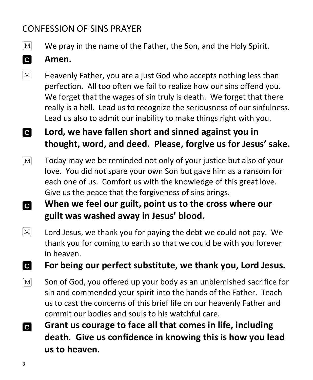# CONFESSION OF SINS PRAYER

 $|M|$ We pray in the name of the Father, the Son, and the Holy Spirit.

### **C Amen.**

 $\mathbf{M}$ Heavenly Father, you are a just God who accepts nothing less than perfection. All too often we fail to realize how our sins offend you. We forget that the wages of sin truly is death. We forget that there really is a hell. Lead us to recognize the seriousness of our sinfulness. Lead us also to admit our inability to make things right with you.

### **C Lord, we have fallen short and sinned against you in thought, word, and deed. Please, forgive us for Jesus' sake.**

- $\lceil \text{M} \rceil$ Today may we be reminded not only of your justice but also of your love. You did not spare your own Son but gave him as a ransom for each one of us. Comfort us with the knowledge of this great love. Give us the peace that the forgiveness of sins brings.
- **When we feel our guilt, point us to the cross where our C guilt was washed away in Jesus' blood.**
- $\lceil \text{M} \rceil$ Lord Jesus, we thank you for paying the debt we could not pay. We thank you for coming to earth so that we could be with you forever in heaven.

**For being our perfect substitute, we thank you, Lord Jesus. C** 

- $\boxed{\text{M}}$ Son of God, you offered up your body as an unblemished sacrifice for sin and commended your spirit into the hands of the Father. Teach us to cast the concerns of this brief life on our heavenly Father and commit our bodies and souls to his watchful care.
- **Grant us courage to face all that comes in life, including C death. Give us confidence in knowing this is how you lead us to heaven.**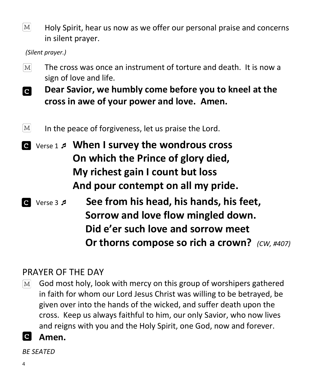$\lceil \text{M} \rceil$ Holy Spirit, hear us now as we offer our personal praise and concerns in silent prayer.

 *(Silent prayer.)*

- The cross was once an instrument of torture and death. It is now a  $\lceil \text{M} \rceil$ sign of love and life.
- **Dear Savior, we humbly come before you to kneel at the**   $|{\bf c}|$ **cross in awe of your power and love. Amen.**
- $\lceil \text{M} \rceil$ In the peace of forgiveness, let us praise the Lord.
- Verse 1  **When I survey the wondrous cross On which the Prince of glory died, My richest gain I count but loss And pour contempt on all my pride.**
- Verse 3  **See from his head, his hands, his feet, Sorrow and love flow mingled down. Did e'er such love and sorrow meet Or thorns compose so rich a crown?** *(CW, #407)*

# PRAYER OF THE DAY

- God most holy, look with mercy on this group of worshipers gathered  $|M|$ in faith for whom our Lord Jesus Christ was willing to be betrayed, be given over into the hands of the wicked, and suffer death upon the cross. Keep us always faithful to him, our only Savior, who now lives and reigns with you and the Holy Spirit, one God, now and forever.
- $\mathbf{C}$ **Amen.**

*BE SEATED*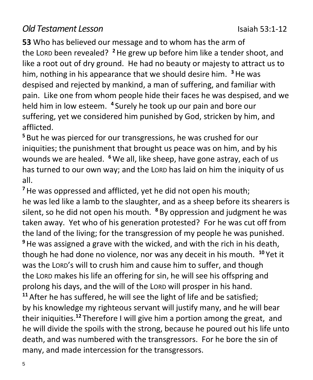## *Old Testament Lesson* Isaiah 53:1-12

**53** Who has believed our message and to whom has the arm of the LORD been revealed? **<sup>2</sup>**He grew up before him like a tender shoot, and like a root out of dry ground. He had no beauty or majesty to attract us to him, nothing in his appearance that we should desire him. **<sup>3</sup>**He was despised and rejected by mankind, a man of suffering, and familiar with pain. Like one from whom people hide their faces he was despised, and we held him in low esteem. **<sup>4</sup>** Surely he took up our pain and bore our suffering, yet we considered him punished by God, stricken by him, and afflicted.

**<sup>5</sup>** But he was pierced for our transgressions, he was crushed for our iniquities; the punishment that brought us peace was on him, and by his wounds we are healed. <sup>6</sup> We all, like sheep, have gone astray, each of us has turned to our own way; and the LORD has laid on him the iniquity of us all.

**<sup>7</sup>**He was oppressed and afflicted, yet he did not open his mouth; he was led like a lamb to the slaughter, and as a sheep before its shearers is silent, so he did not open his mouth. **<sup>8</sup>** By oppression and judgment he was taken away. Yet who of his generation protested? For he was cut off from the land of the living; for the transgression of my people he was punished. **<sup>9</sup>**He was assigned a grave with the wicked, and with the rich in his death, though he had done no violence, nor was any deceit in his mouth. **<sup>10</sup>** Yet it was the LORD's will to crush him and cause him to suffer, and though the LORD makes his life an offering for sin, he will see his offspring and prolong his days, and the will of the LORD will prosper in his hand. **<sup>11</sup>** After he has suffered, he will see the light of life and be satisfied; by his knowledge my righteous servant will justify many, and he will bear their iniquities. **<sup>12</sup>** Therefore I will give him a portion among the great, and he will divide the spoils with the strong, because he poured out his life unto death, and was numbered with the transgressors. For he bore the sin of many, and made intercession for the transgressors.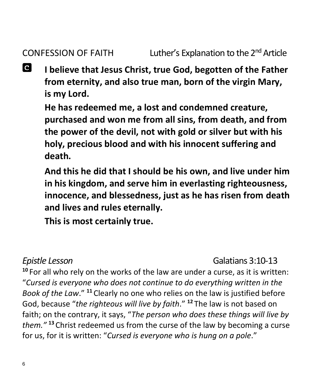**C I believe that Jesus Christ, true God, begotten of the Father from eternity, and also true man, born of the virgin Mary, is my Lord.**

**He has redeemed me, a lost and condemned creature, purchased and won me from all sins, from death, and from the power of the devil, not with gold or silver but with his holy, precious blood and with his innocent suffering and death.**

**And this he did that I should be his own, and live under him in his kingdom, and serve him in everlasting righteousness, innocence, and blessedness, just as he has risen from death and lives and rules eternally.**

**This is most certainly true.**

*Epistle Lesson* Galatians 3:10-13

**<sup>10</sup>** For all who rely on the works of the law are under a curse, as it is written: "*Cursed is everyone who does not continue to do everything written in the Book of the Law*." **<sup>11</sup>** Clearly no one who relies on the law is justified before God, because "*the righteous will live by faith*." **<sup>12</sup>** The law is not based on faith; on the contrary, it says, "*The person who does these things will live by them."* **<sup>13</sup>** Christ redeemed us from the curse of the law by becoming a curse for us, for it is written: "*Cursed is everyone who is hung on a pole*."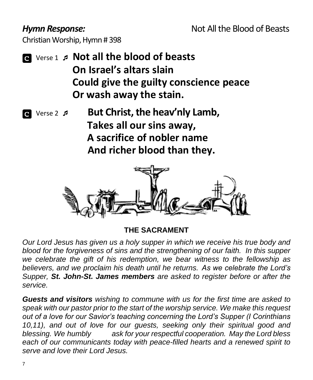Christian Worship, Hymn # 398

- Verse 1 **Not all the blood of beasts On Israel's altars slain Could give the guilty conscience peace Or wash away the stain.**
- Verse 2  **But Christ, the heav'nly Lamb, Takes all our sins away, A sacrifice of nobler name And richer blood than they.**

![](_page_6_Picture_5.jpeg)

**THE SACRAMENT**

*Our Lord Jesus has given us a holy supper in which we receive his true body and blood for the forgiveness of sins and the strengthening of our faith. In this supper we celebrate the gift of his redemption, we bear witness to the fellowship as believers, and we proclaim his death until he returns. As we celebrate the Lord's Supper, St. John-St. James members are asked to register before or after the service.* 

*Guests and visitors wishing to commune with us for the first time are asked to speak with our pastor prior to the start of the worship service. We make this request out of a love for our Savior's teaching concerning the Lord's Supper (I Corinthians 10,11), and out of love for our guests, seeking only their spiritual good and blessing. We humbly ask for your respectful cooperation. May the Lord bless each of our communicants today with peace-filled hearts and a renewed spirit to serve and love their Lord Jesus.*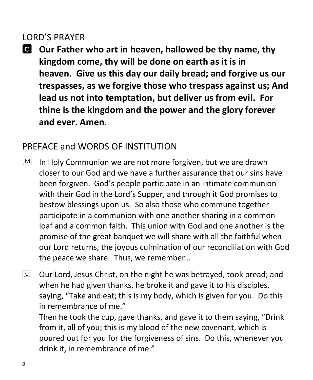## LORD'S PRAYER

**Our Father who art in heaven, hallowed be thy name, thy kingdom come, thy will be done on earth as it is in heaven. Give us this day our daily bread; and forgive us our trespasses, as we forgive those who trespass against us; And lead us not into temptation, but deliver us from evil. For thine is the kingdom and the power and the glory forever and ever. Amen.**

# PREFACE and WORDS OF INSTITUTION

- $\lvert\mathrm{M}\rvert$ In Holy Communion we are not more forgiven, but we are drawn closer to our God and we have a further assurance that our sins have been forgiven. God's people participate in an intimate communion with their God in the Lord's Supper, and through it God promises to bestow blessings upon us. So also those who commune together participate in a communion with one another sharing in a common loaf and a common faith. This union with God and one another is the promise of the great banquet we will share with all the faithful when our Lord returns, the joyous culmination of our reconciliation with God the peace we share. Thus, we remember…
- $\boxed{\text{M}}$ Our Lord, Jesus Christ, on the night he was betrayed, took bread; and when he had given thanks, he broke it and gave it to his disciples, saying, "Take and eat; this is my body, which is given for you. Do this in remembrance of me."

Then he took the cup, gave thanks, and gave it to them saying, "Drink from it, all of you; this is my blood of the new covenant, which is poured out for you for the forgiveness of sins. Do this, whenever you drink it, in remembrance of me."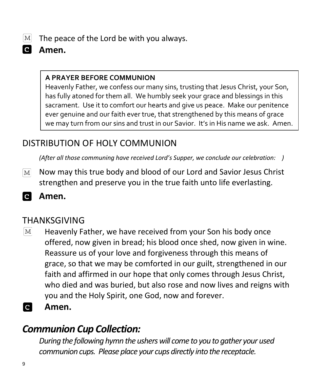$\lceil \text{M} \rceil$ **d** 

**Amen.**

### **A PRAYER BEFORE COMMUNION**

The peace of the Lord be with you always.

Heavenly Father, we confess our many sins, trusting that Jesus Christ, your Son, has fully atoned for them all. We humbly seek your grace and blessings in this sacrament. Use it to comfort our hearts and give us peace. Make our penitence ever genuine and our faith ever true, that strengthened by this means of grace we may turn from our sins and trust in our Savior. It's in His name we ask. Amen.

# DISTRIBUTION OF HOLY COMMUNION

*(After all those communing have received Lord's Supper, we conclude our celebration: )*

- Now may this true body and blood of our Lord and Savior Jesus Christ  $|M|$ strengthen and preserve you in the true faith unto life everlasting.
- ia. **Amen.**

# THANKSGIVING

- $|M|$ Heavenly Father, we have received from your Son his body once offered, now given in bread; his blood once shed, now given in wine. Reassure us of your love and forgiveness through this means of grace, so that we may be comforted in our guilt, strengthened in our faith and affirmed in our hope that only comes through Jesus Christ, who died and was buried, but also rose and now lives and reigns with you and the Holy Spirit, one God, now and forever.
- **C Amen.**

# *Communion Cup Collection:*

*During the following hymn the ushers will come to you to gather your used communion cups. Please place your cups directly into the receptacle.*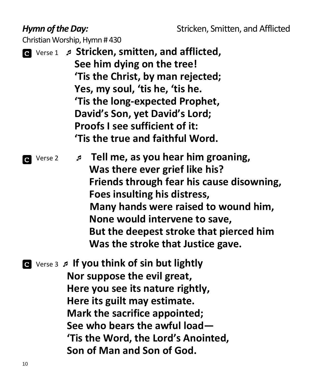## *Hymn of the Day:* Stricken, Smitten, and Afflicted

Christian Worship, Hymn # 430

 Verse 1 **Stricken, smitten, and afflicted, See him dying on the tree! 'Tis the Christ, by man rejected; Yes, my soul, 'tis he, 'tis he. 'Tis the long-expected Prophet, David's Son, yet David's Lord; Proofs I see sufficient of it: 'Tis the true and faithful Word.**

 Verse 2 **Tell me, as you hear him groaning, Was there ever grief like his? Friends through fear his cause disowning, Foes insulting his distress, Many hands were raised to wound him, None would intervene to save, But the deepest stroke that pierced him Was the stroke that Justice gave.**

 Verse 3 **If you think of sin but lightly Nor suppose the evil great, Here you see its nature rightly, Here its guilt may estimate. Mark the sacrifice appointed; See who bears the awful load— 'Tis the Word, the Lord's Anointed, Son of Man and Son of God.**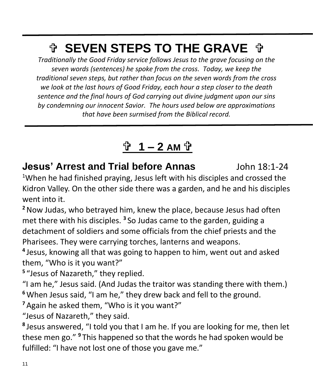# **↑ SEVEN STEPS TO THE GRAVE ↑**

*Traditionally the Good Friday service follows Jesus to the grave focusing on the seven words (sentences) he spoke from the cross. Today, we keep the traditional seven steps, but rather than focus on the seven words from the cross we look at the last hours of Good Friday, each hour a step closer to the death sentence and the final hours of God carrying out divine judgment upon our sins by condemning our innocent Savior. The hours used below are approximations that have been surmised from the Biblical record.*

# **1 – 2 AM**

**Jesus' Arrest and Trial before Annas**John 18:1-24 <sup>1</sup>When he had finished praying, Jesus left with his disciples and crossed the

Kidron Valley. On the other side there was a garden, and he and his disciples went into it.

**<sup>2</sup>**Now Judas, who betrayed him, knew the place, because Jesus had often met there with his disciples. **<sup>3</sup>** So Judas came to the garden, guiding a detachment of soldiers and some officials from the chief priests and the Pharisees. They were carrying torches, lanterns and weapons.

**4** Jesus, knowing all that was going to happen to him, went out and asked them, "Who is it you want?"

**5** "Jesus of Nazareth," they replied.

"I am he," Jesus said. (And Judas the traitor was standing there with them.) **<sup>6</sup>**When Jesus said, "I am he," they drew back and fell to the ground.

**<sup>7</sup>** Again he asked them, "Who is it you want?"

"Jesus of Nazareth," they said.

**8** Jesus answered, "I told you that I am he. If you are looking for me, then let these men go." **<sup>9</sup>** This happened so that the words he had spoken would be fulfilled: "I have not lost one of those you gave me."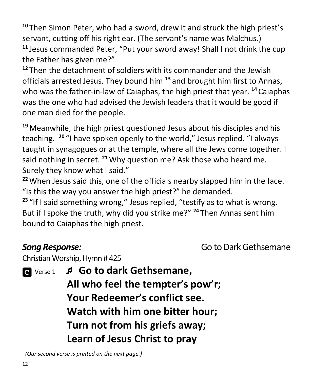**<sup>10</sup>** Then Simon Peter, who had a sword, drew it and struck the high priest's servant, cutting off his right ear. (The servant's name was Malchus.) **<sup>11</sup>** Jesus commanded Peter, "Put your sword away! Shall I not drink the cup the Father has given me?"

**<sup>12</sup>** Then the detachment of soldiers with its commander and the Jewish officials arrested Jesus. They bound him **<sup>13</sup>** and brought him first to Annas, who was the father-in-law of Caiaphas, the high priest that year. **<sup>14</sup>** Caiaphas was the one who had advised the Jewish leaders that it would be good if one man died for the people.

**<sup>19</sup>** Meanwhile, the high priest questioned Jesus about his disciples and his teaching. **<sup>20</sup>** "I have spoken openly to the world," Jesus replied. "I always taught in synagogues or at the temple, where all the Jews come together. I said nothing in secret. **<sup>21</sup>**Why question me? Ask those who heard me. Surely they know what I said."

**<sup>22</sup>**When Jesus said this, one of the officials nearby slapped him in the face. "Is this the way you answer the high priest?" he demanded.

**<sup>23</sup>** "If I said something wrong," Jesus replied, "testify as to what is wrong. But if I spoke the truth, why did you strike me?" **<sup>24</sup>** Then Annas sent him bound to Caiaphas the high priest.

**Song Response: Go to Dark Gethsemane** 

Christian Worship, Hymn # 425

Verse 1 **Go to dark Gethsemane,** 

**All who feel the tempter's pow'r; Your Redeemer's conflict see. Watch with him one bitter hour; Turn not from his griefs away; Learn of Jesus Christ to pray**

 *(Our second verse is printed on the next page.)*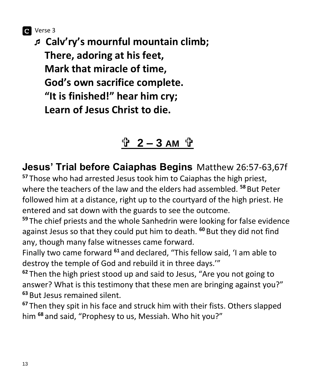Verse 3

 **Calv'ry's mournful mountain climb; There, adoring at his feet, Mark that miracle of time, God's own sacrifice complete. "It is finished!" hear him cry; Learn of Jesus Christ to die.**

# **2 – 3 AM**

**Jesus' Trial before Caiaphas Begins**Matthew 26:57-63,67f

**<sup>57</sup>** Those who had arrested Jesus took him to Caiaphas the high priest, where the teachers of the law and the elders had assembled. **<sup>58</sup>** But Peter followed him at a distance, right up to the courtyard of the high priest. He entered and sat down with the guards to see the outcome.

**<sup>59</sup>** The chief priests and the whole Sanhedrin were looking for false evidence against Jesus so that they could put him to death. **<sup>60</sup>** But they did not find any, though many false witnesses came forward.

Finally two came forward **<sup>61</sup>** and declared, "This fellow said, 'I am able to destroy the temple of God and rebuild it in three days.'"

**<sup>62</sup>** Then the high priest stood up and said to Jesus, "Are you not going to answer? What is this testimony that these men are bringing against you?" **<sup>63</sup>** But Jesus remained silent.

**<sup>67</sup>** Then they spit in his face and struck him with their fists. Others slapped him **<sup>68</sup>** and said, "Prophesy to us, Messiah. Who hit you?"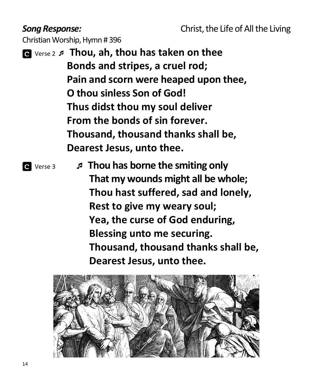Christian Worship, Hymn # 396

 Verse 2 **Thou, ah, thou has taken on thee Bonds and stripes, a cruel rod; Pain and scorn were heaped upon thee, O thou sinless Son of God! Thus didst thou my soul deliver From the bonds of sin forever. Thousand, thousand thanks shall be, Dearest Jesus, unto thee.**

 Verse <sup>3</sup> **Thou has borne the smiting only That my wounds might all be whole; Thou hast suffered, sad and lonely, Rest to give my weary soul; Yea, the curse of God enduring, Blessing unto me securing. Thousand, thousand thanks shall be, Dearest Jesus, unto thee.**

![](_page_13_Picture_6.jpeg)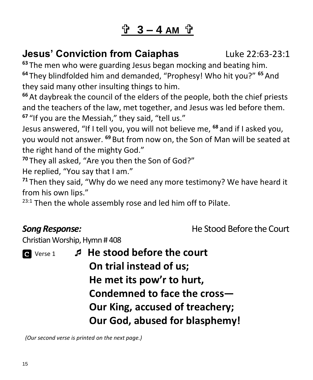# **3 – 4 AM**

# **Jesus' Conviction from Caiaphas** Luke 22:63-23:1

**<sup>63</sup>** The men who were guarding Jesus began mocking and beating him. **<sup>64</sup>** They blindfolded him and demanded, "Prophesy! Who hit you?" **<sup>65</sup>** And they said many other insulting things to him.

**<sup>66</sup>** At daybreak the council of the elders of the people, both the chief priests and the teachers of the law, met together, and Jesus was led before them. **<sup>67</sup>** "If you are the Messiah," they said, "tell us."

Jesus answered, "If I tell you, you will not believe me, **<sup>68</sup>** and if I asked you, you would not answer. **<sup>69</sup>** But from now on, the Son of Man will be seated at the right hand of the mighty God."

**<sup>70</sup>** They all asked, "Are you then the Son of God?"

He replied, "You say that I am."

**<sup>71</sup>** Then they said, "Why do we need any more testimony? We have heard it from his own lips."

 $23:1$  Then the whole assembly rose and led him off to Pilate.

**Song Response: He Stood Before the Court** 

Christian Worship, Hymn # 408

 Verse 1 **He stood before the court On trial instead of us; He met its pow'r to hurt, Condemned to face the cross— Our King, accused of treachery; Our God, abused for blasphemy!**

 *(Our second verse is printed on the next page.)*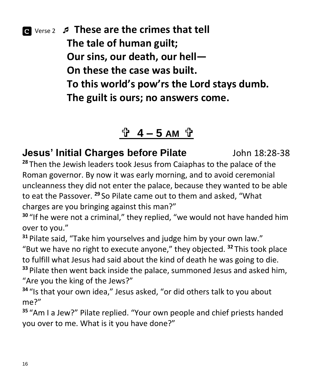Verse <sup>2</sup> **These are the crimes that tell The tale of human guilt; Our sins, our death, our hell— On these the case was built. To this world's pow'rs the Lord stays dumb. The guilt is ours; no answers come.**

# <u> $\frac{1}{2}$  4 − 5 AM 간</u>

**Jesus' Initial Charges before Pilate**John 18:28-38 **<sup>28</sup>** Then the Jewish leaders took Jesus from Caiaphas to the palace of the Roman governor. By now it was early morning, and to avoid ceremonial uncleanness they did not enter the palace, because they wanted to be able to eat the Passover. **<sup>29</sup>** So Pilate came out to them and asked, "What charges are you bringing against this man?"

**<sup>30</sup>** "If he were not a criminal," they replied, "we would not have handed him over to you."

**<sup>31</sup>** Pilate said, "Take him yourselves and judge him by your own law."

"But we have no right to execute anyone," they objected. **<sup>32</sup>** This took place to fulfill what Jesus had said about the kind of death he was going to die. **<sup>33</sup>** Pilate then went back inside the palace, summoned Jesus and asked him, "Are you the king of the Jews?"

**<sup>34</sup>** "Is that your own idea," Jesus asked, "or did others talk to you about me?"

**<sup>35</sup>** "Am I a Jew?" Pilate replied. "Your own people and chief priests handed you over to me. What is it you have done?"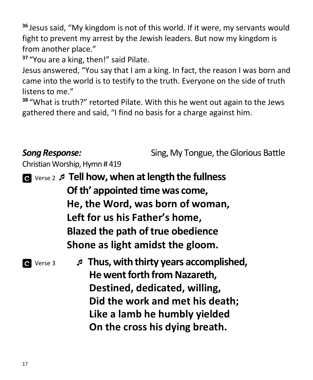**<sup>36</sup>** Jesus said, "My kingdom is not of this world. If it were, my servants would fight to prevent my arrest by the Jewish leaders. But now my kingdom is from another place."

**<sup>37</sup>** "You are a king, then!" said Pilate.

Jesus answered, "You say that I am a king. In fact, the reason I was born and came into the world is to testify to the truth. Everyone on the side of truth listens to me."

**<sup>38</sup>** "What is truth?" retorted Pilate. With this he went out again to the Jews gathered there and said, "I find no basis for a charge against him.

# **Song Response:** Sing, My Tongue, the Glorious Battle Christian Worship, Hymn # 419 Verse 2 **Tell how, when at length the fullness Of th' appointed time was come, He, the Word, was born of woman, Left for us his Father's home, Blazed the path of true obedience Shone as light amidst the gloom.** Verse <sup>3</sup> **Thus, with thirty years accomplished, He went forth from Nazareth, Destined, dedicated, willing, Did the work and met his death; Like a lamb he humbly yielded On the cross his dying breath.**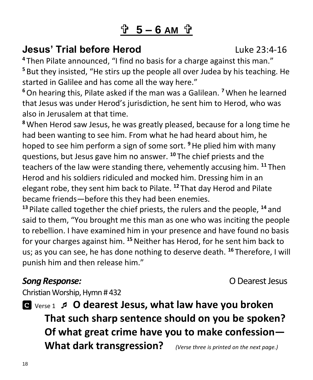# **5 – 6 AM**

# **Jesus' Trial before Herod Luke 23:4-16**

**<sup>4</sup>** Then Pilate announced, "I find no basis for a charge against this man." **<sup>5</sup>** But they insisted, "He stirs up the people all over Judea by his teaching. He started in Galilee and has come all the way here."

**<sup>6</sup>**On hearing this, Pilate asked if the man was a Galilean. **<sup>7</sup>**When he learned that Jesus was under Herod's jurisdiction, he sent him to Herod, who was also in Jerusalem at that time.

**<sup>8</sup>**When Herod saw Jesus, he was greatly pleased, because for a long time he had been wanting to see him. From what he had heard about him, he hoped to see him perform a sign of some sort. **<sup>9</sup>**He plied him with many questions, but Jesus gave him no answer. **<sup>10</sup>** The chief priests and the teachers of the law were standing there, vehemently accusing him. **<sup>11</sup>** Then Herod and his soldiers ridiculed and mocked him. Dressing him in an elegant robe, they sent him back to Pilate. **<sup>12</sup>** That day Herod and Pilate became friends—before this they had been enemies.

**<sup>13</sup>** Pilate called together the chief priests, the rulers and the people, **<sup>14</sup>** and said to them, "You brought me this man as one who was inciting the people to rebellion. I have examined him in your presence and have found no basis for your charges against him. **<sup>15</sup>**Neither has Herod, for he sent him back to us; as you can see, he has done nothing to deserve death. **<sup>16</sup>** Therefore, I will punish him and then release him."

### **Song Response: CO** Dearest Jesus

Christian Worship, Hymn # 432

 Verse 1 **O dearest Jesus, what law have you broken That such sharp sentence should on you be spoken? Of what great crime have you to make confession— What dark transgression?** *(Verse three is printed on the next page.)*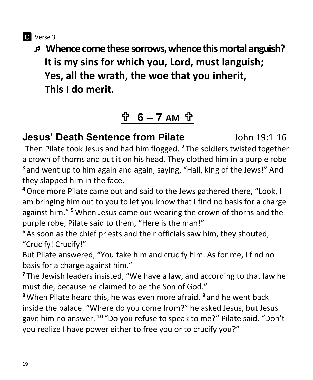**C** Verse 3

 **Whence come these sorrows, whence thismortal anguish? It is my sins for which you, Lord, must languish; Yes, all the wrath, the woe that you inherit, This I do merit.**

# **6 – 7 AM**

**Jesus' Death Sentence from Pilate**John 19:1-16 <sup>1</sup>Then Pilate took Jesus and had him flogged. **<sup>2</sup>** The soldiers twisted together a crown of thorns and put it on his head. They clothed him in a purple robe **<sup>3</sup>** and went up to him again and again, saying, "Hail, king of the Jews!" And they slapped him in the face.

**<sup>4</sup>**Once more Pilate came out and said to the Jews gathered there, "Look, I am bringing him out to you to let you know that I find no basis for a charge against him." **<sup>5</sup>**When Jesus came out wearing the crown of thorns and the purple robe, Pilate said to them, "Here is the man!"

**<sup>6</sup>** As soon as the chief priests and their officials saw him, they shouted, "Crucify! Crucify!"

But Pilate answered, "You take him and crucify him. As for me, I find no basis for a charge against him."

**<sup>7</sup>** The Jewish leaders insisted, "We have a law, and according to that law he must die, because he claimed to be the Son of God."

**<sup>8</sup>**When Pilate heard this, he was even more afraid, **<sup>9</sup>** and he went back inside the palace. "Where do you come from?" he asked Jesus, but Jesus gave him no answer. **<sup>10</sup>** "Do you refuse to speak to me?" Pilate said. "Don't you realize I have power either to free you or to crucify you?"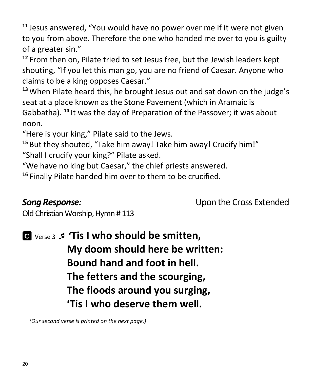**<sup>11</sup>** Jesus answered, "You would have no power over me if it were not given to you from above. Therefore the one who handed me over to you is guilty of a greater sin."

**<sup>12</sup>** From then on, Pilate tried to set Jesus free, but the Jewish leaders kept shouting, "If you let this man go, you are no friend of Caesar. Anyone who claims to be a king opposes Caesar."

**<sup>13</sup>**When Pilate heard this, he brought Jesus out and sat down on the judge's seat at a place known as the Stone Pavement (which in Aramaic is Gabbatha). **<sup>14</sup>** It was the day of Preparation of the Passover; it was about noon.

"Here is your king," Pilate said to the Jews.

**<sup>15</sup>** But they shouted, "Take him away! Take him away! Crucify him!" "Shall I crucify your king?" Pilate asked.

"We have no king but Caesar," the chief priests answered.

**<sup>16</sup>** Finally Pilate handed him over to them to be crucified.

*Song Response:* Upon the Cross Extended

Old Christian Worship, Hymn # 113

 Verse <sup>3</sup> **'Tis I who should be smitten, My doom should here be written: Bound hand and foot in hell. The fetters and the scourging, The floods around you surging, 'Tis I who deserve them well.**

 *(Our second verse is printed on the next page.)*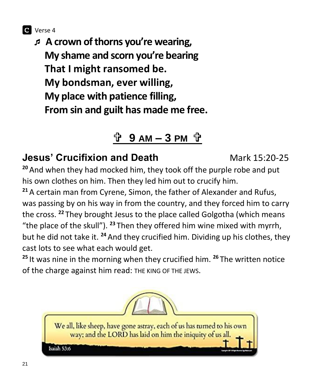![](_page_20_Picture_0.jpeg)

 **A crown of thorns you're wearing, My shame and scorn you're bearing That I might ransomed be. My bondsman, ever willing, My place with patience filling, From sin and guilt has made me free.**

# **9 AM – 3 PM**

# **Jesus' Crucifixion and Death Mark 15:20-25**

**<sup>20</sup>** And when they had mocked him, they took off the purple robe and put his own clothes on him. Then they led him out to crucify him.

**<sup>21</sup>** A certain man from Cyrene, Simon, the father of Alexander and Rufus, was passing by on his way in from the country, and they forced him to carry the cross. **<sup>22</sup>** They brought Jesus to the place called Golgotha (which means "the place of the skull"). **<sup>23</sup>** Then they offered him wine mixed with myrrh, but he did not take it. **<sup>24</sup>** And they crucified him. Dividing up his clothes, they cast lots to see what each would get.

**<sup>25</sup>** It was nine in the morning when they crucified him. **<sup>26</sup>** The written notice of the charge against him read: THE KING OF THE JEWS.

![](_page_20_Picture_7.jpeg)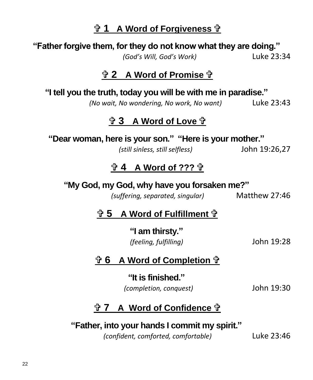# **1** A Word of Forgiveness fr

### **"Father forgive them, for they do not know what they are doing."**

*(God's Will, God's Work)* Luke 23:34

### **2 A Word of Promise**

**"I tell you the truth, today you will be with me in paradise."**

*(No wait, No wondering, No work, No want)* Luke 23:43

### **<u>**  $\frac{1}{12}$  **3 A Word of Love**  $\frac{1}{12}$ **</u>**

**"Dear woman, here is your son." "Here is your mother."**

*(still sinless, still selfless)* John 19:26,27

## **4 A Word of ???**

### **"My God, my God, why have you forsaken me?"**

*(suffering, separated, singular)* Matthew 27:46

## **5 A Word of Fulfillment**

**"I am thirsty."** *(feeling, fulfilling)* John 19:28

### **6 A Word of Completion**

**"It is finished."** *(completion, conquest)* John 19:30

## **<sup>1</sup>7 A Word of Confidence <sup>1</sup>**

## **"Father, into your hands I commit my spirit."**

*(confident, comforted, comfortable)* Luke 23:46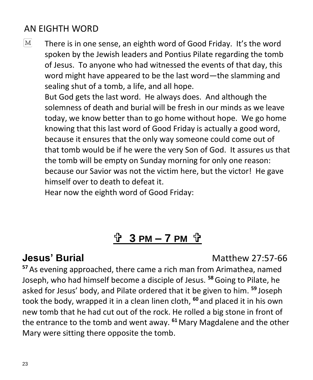# AN EIGHTH WORD

 $|M|$ There is in one sense, an eighth word of Good Friday. It's the word spoken by the Jewish leaders and Pontius Pilate regarding the tomb of Jesus. To anyone who had witnessed the events of that day, this word might have appeared to be the last word—the slamming and sealing shut of a tomb, a life, and all hope. But God gets the last word. He always does. And although the solemness of death and burial will be fresh in our minds as we leave today, we know better than to go home without hope. We go home knowing that this last word of Good Friday is actually a good word, because it ensures that the only way someone could come out of that tomb would be if he were the very Son of God. It assures us that the tomb will be empty on Sunday morning for only one reason: because our Savior was not the victim here, but the victor! He gave himself over to death to defeat it.

Hear now the eighth word of Good Friday:

# $\frac{1}{2}$  3 PM - 7 PM  $\frac{1}{2}$

**Jesus' Burial Contract Contract Contract Contract Contract Contract Contract Contract Contract Contract Contract Contract Contract Contract Contract Contract Contract Contract Contract Contract Contract Contract Contrac** 

**<sup>57</sup>** As evening approached, there came a rich man from Arimathea, named Joseph, who had himself become a disciple of Jesus. **<sup>58</sup>**Going to Pilate, he asked for Jesus' body, and Pilate ordered that it be given to him. **<sup>59</sup>** Joseph took the body, wrapped it in a clean linen cloth, **<sup>60</sup>** and placed it in his own new tomb that he had cut out of the rock. He rolled a big stone in front of the entrance to the tomb and went away. **<sup>61</sup>** Mary Magdalene and the other Mary were sitting there opposite the tomb.